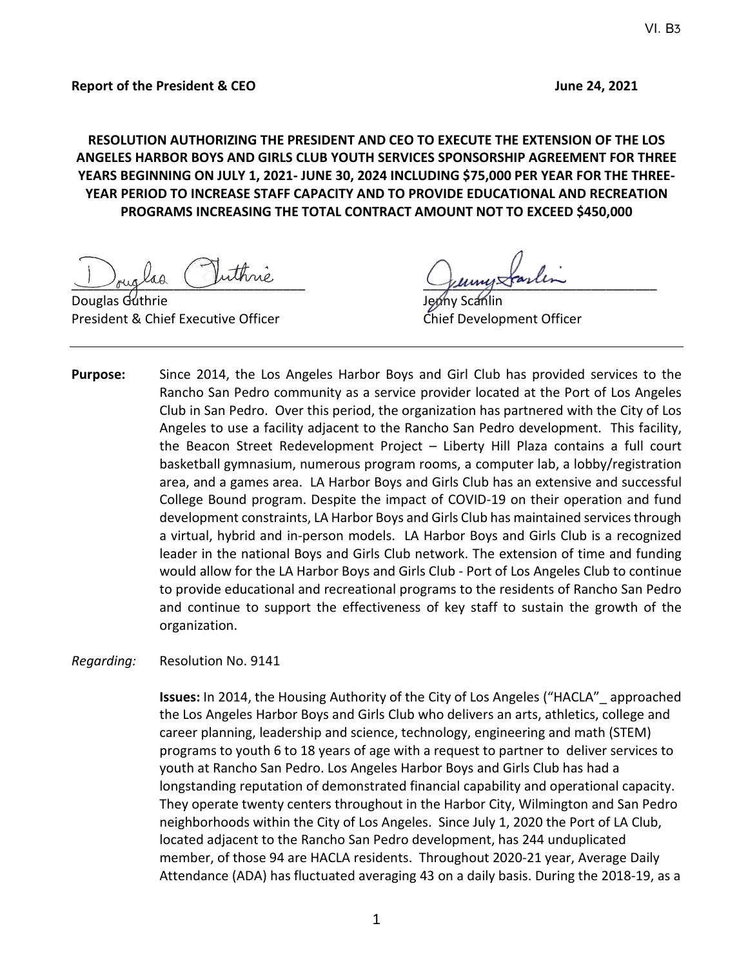**RESOLUTION AUTHORIZING THE PRESIDENT AND CEO TO EXECUTE THE EXTENSION OF THE LOS ANGELES HARBOR BOYS AND GIRLS CLUB YOUTH SERVICES SPONSORSHIP AGREEMENT FOR THREE YEARS BEGINNING ON JULY 1, 2021- JUNE 30, 2024 INCLUDING \$75,000 PER YEAR FOR THE THREE-YEAR PERIOD TO INCREASE STAFF CAPACITY AND TO PROVIDE EDUCATIONAL AND RECREATION PROGRAMS INCREASING THE TOTAL CONTRACT AMOUNT NOT TO EXCEED \$450,000**

Douglas Guthrie President & Chief Executive Officer Chief Development Officer

Juiglad Suivine Juille

**Purpose:** Since 2014, the Los Angeles Harbor Boys and Girl Club has provided services to the Rancho San Pedro community as a service provider located at the Port of Los Angeles Club in San Pedro. Over this period, the organization has partnered with the City of Los Angeles to use a facility adjacent to the Rancho San Pedro development. This facility, the Beacon Street Redevelopment Project – Liberty Hill Plaza contains a full court basketball gymnasium, numerous program rooms, a computer lab, a lobby/registration area, and a games area. LA Harbor Boys and Girls Club has an extensive and successful College Bound program. Despite the impact of COVID-19 on their operation and fund development constraints, LA Harbor Boys and Girls Club has maintained services through a virtual, hybrid and in-person models. LA Harbor Boys and Girls Club is a recognized leader in the national Boys and Girls Club network. The extension of time and funding would allow for the LA Harbor Boys and Girls Club - Port of Los Angeles Club to continue to provide educational and recreational programs to the residents of Rancho San Pedro and continue to support the effectiveness of key staff to sustain the growth of the organization.

#### *Regarding:* Resolution No. 9141

**Issues:** In 2014, the Housing Authority of the City of Los Angeles ("HACLA"\_ approached the Los Angeles Harbor Boys and Girls Club who delivers an arts, athletics, college and career planning, leadership and science, technology, engineering and math (STEM) programs to youth 6 to 18 years of age with a request to partner to deliver services to youth at Rancho San Pedro. Los Angeles Harbor Boys and Girls Club has had a longstanding reputation of demonstrated financial capability and operational capacity. They operate twenty centers throughout in the Harbor City, Wilmington and San Pedro neighborhoods within the City of Los Angeles. Since July 1, 2020 the Port of LA Club, located adjacent to the Rancho San Pedro development, has 244 unduplicated member, of those 94 are HACLA residents. Throughout 2020-21 year, Average Daily Attendance (ADA) has fluctuated averaging 43 on a daily basis. During the 2018-19, as a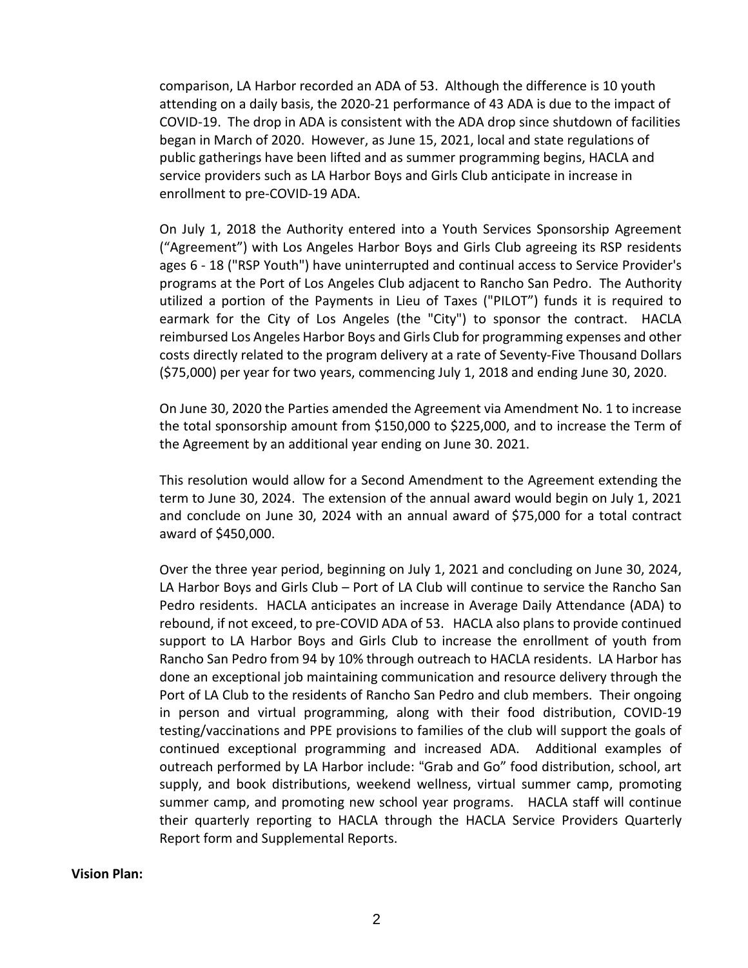comparison, LA Harbor recorded an ADA of 53. Although the difference is 10 youth attending on a daily basis, the 2020-21 performance of 43 ADA is due to the impact of COVID-19. The drop in ADA is consistent with the ADA drop since shutdown of facilities began in March of 2020. However, as June 15, 2021, local and state regulations of public gatherings have been lifted and as summer programming begins, HACLA and service providers such as LA Harbor Boys and Girls Club anticipate in increase in enrollment to pre-COVID-19 ADA.

On July 1, 2018 the Authority entered into a Youth Services Sponsorship Agreement ("Agreement") with Los Angeles Harbor Boys and Girls Club agreeing its RSP residents ages 6 - 18 ("RSP Youth") have uninterrupted and continual access to Service Provider's programs at the Port of Los Angeles Club adjacent to Rancho San Pedro. The Authority utilized a portion of the Payments in Lieu of Taxes ("PILOT") funds it is required to earmark for the City of Los Angeles (the "City") to sponsor the contract. HACLA reimbursed Los Angeles Harbor Boys and Girls Club for programming expenses and other costs directly related to the program delivery at a rate of Seventy-Five Thousand Dollars (\$75,000) per year for two years, commencing July 1, 2018 and ending June 30, 2020.

On June 30, 2020 the Parties amended the Agreement via Amendment No. 1 to increase the total sponsorship amount from \$150,000 to \$225,000, and to increase the Term of the Agreement by an additional year ending on June 30. 2021.

This resolution would allow for a Second Amendment to the Agreement extending the term to June 30, 2024. The extension of the annual award would begin on July 1, 2021 and conclude on June 30, 2024 with an annual award of \$75,000 for a total contract award of \$450,000.

Over the three year period, beginning on July 1, 2021 and concluding on June 30, 2024, LA Harbor Boys and Girls Club – Port of LA Club will continue to service the Rancho San Pedro residents. HACLA anticipates an increase in Average Daily Attendance (ADA) to rebound, if not exceed, to pre-COVID ADA of 53. HACLA also plans to provide continued support to LA Harbor Boys and Girls Club to increase the enrollment of youth from Rancho San Pedro from 94 by 10% through outreach to HACLA residents. LA Harbor has done an exceptional job maintaining communication and resource delivery through the Port of LA Club to the residents of Rancho San Pedro and club members. Their ongoing in person and virtual programming, along with their food distribution, COVID-19 testing/vaccinations and PPE provisions to families of the club will support the goals of continued exceptional programming and increased ADA. Additional examples of outreach performed by LA Harbor include: "Grab and Go" food distribution, school, art supply, and book distributions, weekend wellness, virtual summer camp, promoting summer camp, and promoting new school year programs. HACLA staff will continue their quarterly reporting to HACLA through the HACLA Service Providers Quarterly Report form and Supplemental Reports.

**Vision Plan:**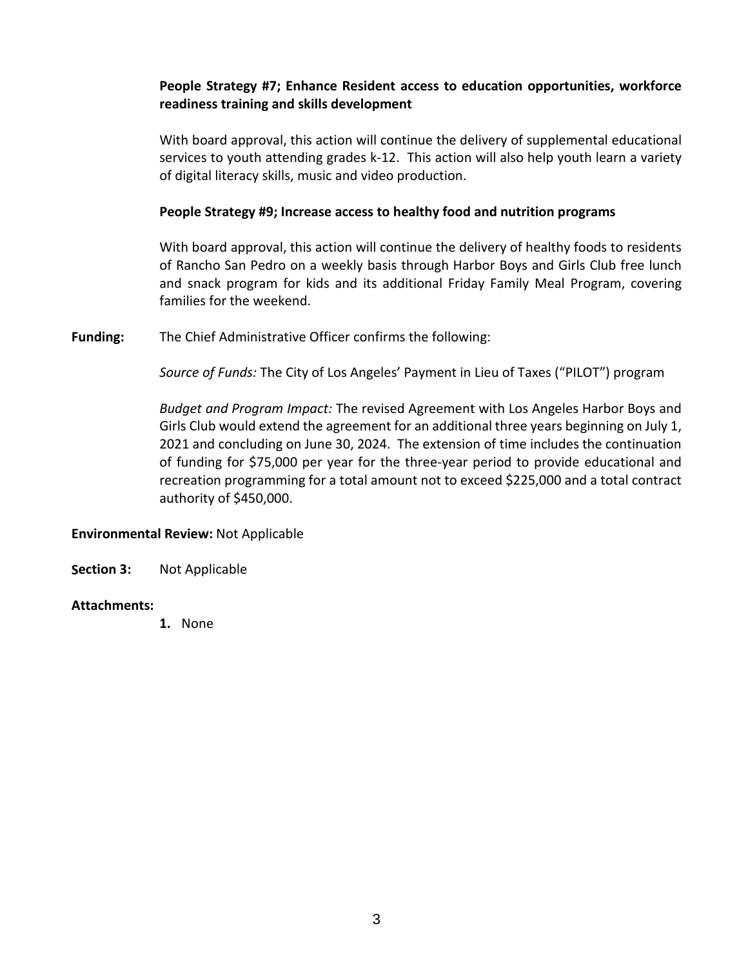## **People Strategy #7; Enhance Resident access to education opportunities, workforce readiness training and skills development**

With board approval, this action will continue the delivery of supplemental educational services to youth attending grades k-12. This action will also help youth learn a variety of digital literacy skills, music and video production.

### **People Strategy #9; Increase access to healthy food and nutrition programs**

With board approval, this action will continue the delivery of healthy foods to residents of Rancho San Pedro on a weekly basis through Harbor Boys and Girls Club free lunch and snack program for kids and its additional Friday Family Meal Program, covering families for the weekend.

**Funding:** The Chief Administrative Officer confirms the following:

*Source of Funds:* The City of Los Angeles' Payment in Lieu of Taxes ("PILOT") program

*Budget and Program Impact:* The revised Agreement with Los Angeles Harbor Boys and Girls Club would extend the agreement for an additional three years beginning on July 1, 2021 and concluding on June 30, 2024. The extension of time includes the continuation of funding for \$75,000 per year for the three-year period to provide educational and recreation programming for a total amount not to exceed \$225,000 and a total contract authority of \$450,000.

## **Environmental Review:** Not Applicable

**Section 3:** Not Applicable

#### **Attachments:**

**1.** None